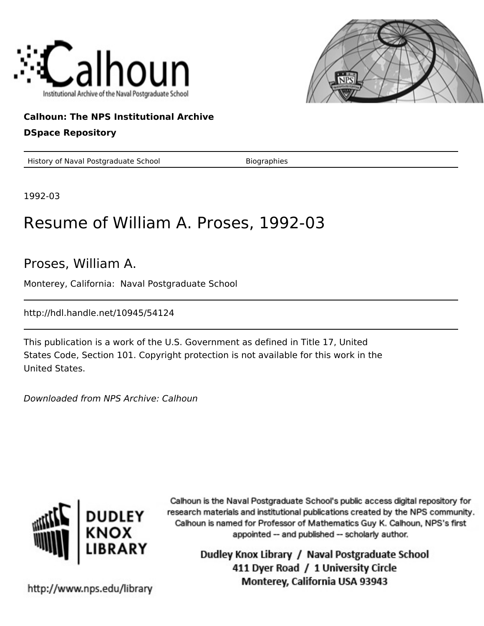



## **Calhoun: The NPS Institutional Archive**

### **DSpace Repository**

History of Naval Postgraduate School Biographies

1992-03

# Resume of William A. Proses, 1992-03

## Proses, William A.

Monterey, California: Naval Postgraduate School

http://hdl.handle.net/10945/54124

This publication is a work of the U.S. Government as defined in Title 17, United States Code, Section 101. Copyright protection is not available for this work in the United States.

Downloaded from NPS Archive: Calhoun



Calhoun is the Naval Postgraduate School's public access digital repository for research materials and institutional publications created by the NPS community. Calhoun is named for Professor of Mathematics Guy K. Calhoun, NPS's first appointed -- and published -- scholarly author.

> Dudley Knox Library / Naval Postgraduate School 411 Dyer Road / 1 University Circle Monterey, California USA 93943

http://www.nps.edu/library